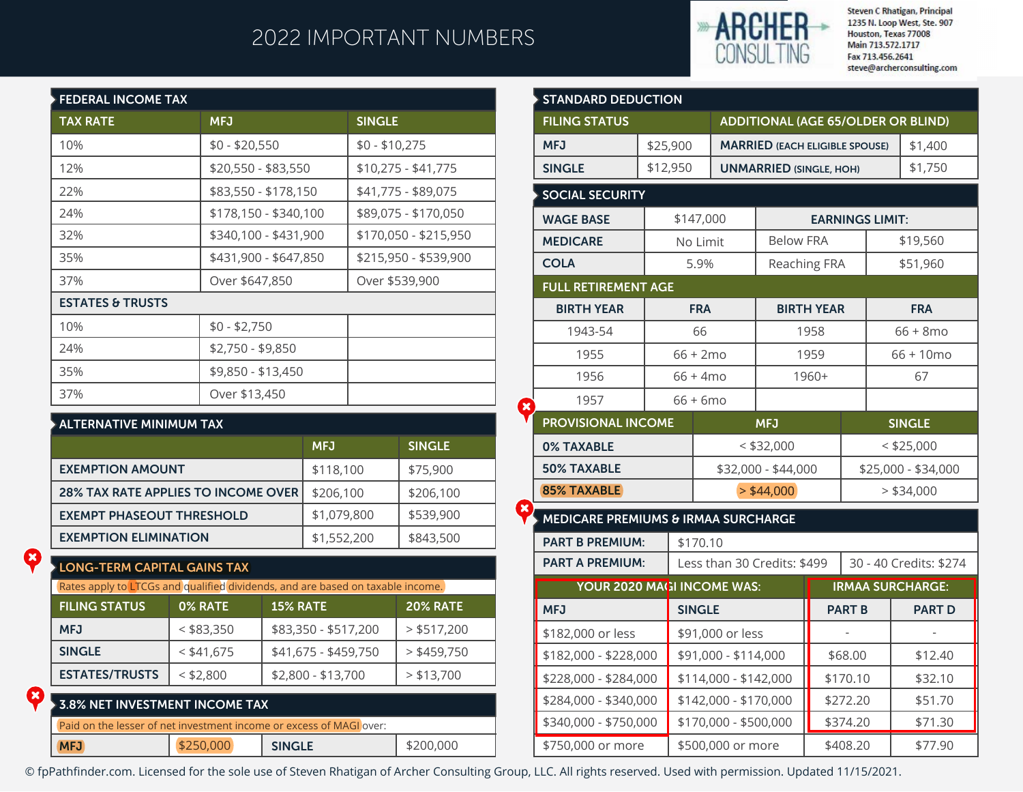## 2022 IMPORTANT NUMBERS



**Steven C Rhatigan, Principal** 1235 N. Loop West, Ste. 907 Houston, Texas 77008 Main 713.572.1717 Fax 713.456.2641 steve@archerconsulting.com

| <b>FEDERAL INCOME TAX</b>   |                       |                       |
|-----------------------------|-----------------------|-----------------------|
| <b>TAX RATE</b>             | <b>MFJ</b>            | <b>SINGLE</b>         |
| 10%                         | $$0 - $20,550$        | $$0 - $10,275$        |
| 12%                         | \$20,550 - \$83,550   | $$10,275 - $41,775$   |
| 22%                         | \$83,550 - \$178,150  | \$41,775 - \$89,075   |
| 24%                         | \$178,150 - \$340,100 | \$89,075 - \$170,050  |
| 32%                         | \$340,100 - \$431,900 | \$170,050 - \$215,950 |
| 35%                         | \$431,900 - \$647,850 | \$215,950 - \$539,900 |
| 37%                         | Over \$647,850        | Over \$539,900        |
| <b>ESTATES &amp; TRUSTS</b> |                       |                       |
| 10%                         | $$0 - $2,750$         |                       |
| 24%                         | \$2,750 - \$9,850     |                       |
| 35%                         | \$9,850 - \$13,450    |                       |
| 37%                         | Over \$13,450         |                       |

#### **ALTERNATIVE MINIMUM TAX**

|                                            | <b>MFJ</b>  | <b>SINGLE</b> |
|--------------------------------------------|-------------|---------------|
| <b>EXEMPTION AMOUNT</b>                    | \$118,100   | \$75,900      |
| <b>28% TAX RATE APPLIES TO INCOME OVER</b> | \$206,100   | \$206,100     |
| <b>EXEMPT PHASEOUT THRESHOLD</b>           | \$1,079,800 | \$539,900     |
| <b>EXEMPTION ELIMINATION</b>               | \$1,552,200 | \$843,500     |

### **LONG-TERM CAPITAL GAINS TAX**

Ø

 $\mathbf x$ 

| Rates apply to LTCGs and qualified dividends, and are based on taxable income. |              |                      |                 |  |  |  |  |  |
|--------------------------------------------------------------------------------|--------------|----------------------|-----------------|--|--|--|--|--|
| <b>FILING STATUS</b>                                                           | 0% RATE      | <b>15% RATE</b>      | <b>20% RATE</b> |  |  |  |  |  |
| <b>MFJ</b>                                                                     | $<$ \$83,350 | \$83,350 - \$517,200 | $>$ \$517,200   |  |  |  |  |  |
| <b>SINGLE</b>                                                                  | $<$ \$41,675 | \$41,675 - \$459,750 | $>$ \$459,750   |  |  |  |  |  |
| <b>ESTATES/TRUSTS</b>                                                          | $<$ \$2,800  | \$2,800 - \$13,700   | $>$ \$13,700    |  |  |  |  |  |

| $\blacktriangleright$ 3.8% NET INVESTMENT INCOME TAX $\blacktriangleright$ |           |                                                                     |           |
|----------------------------------------------------------------------------|-----------|---------------------------------------------------------------------|-----------|
|                                                                            |           | Paid on the lesser of net investment income or excess of MAGI over: |           |
| MFJ                                                                        | \$250,000 | <b>SINGLE</b>                                                       | \$200,000 |

| <b>STANDARD DEDUCTION</b>           |          |                    |                                           |                         |                                       |                                     |  |               |  |
|-------------------------------------|----------|--------------------|-------------------------------------------|-------------------------|---------------------------------------|-------------------------------------|--|---------------|--|
| <b>FILING STATUS</b>                |          |                    | <b>ADDITIONAL (AGE 65/OLDER OR BLIND)</b> |                         |                                       |                                     |  |               |  |
| <b>MFJ</b>                          | \$25,900 |                    |                                           |                         | <b>MARRIED (EACH ELIGIBLE SPOUSE)</b> |                                     |  | \$1,400       |  |
| <b>SINGLE</b>                       | \$12,950 |                    |                                           |                         | <b>UNMARRIED (SINGLE, HOH)</b>        |                                     |  | \$1,750       |  |
| <b>SOCIAL SECURITY</b>              |          |                    |                                           |                         |                                       |                                     |  |               |  |
| <b>WAGE BASE</b>                    |          | \$147,000          |                                           | <b>EARNINGS LIMIT:</b>  |                                       |                                     |  |               |  |
| <b>MEDICARE</b>                     |          | No Limit           |                                           | <b>Below FRA</b>        |                                       |                                     |  | \$19,560      |  |
| <b>COLA</b>                         |          | 5.9%               |                                           | <b>Reaching FRA</b>     |                                       |                                     |  | \$51,960      |  |
| <b>FULL RETIREMENT AGE</b>          |          |                    |                                           |                         |                                       |                                     |  |               |  |
| <b>BIRTH YEAR</b>                   |          | <b>FRA</b>         |                                           |                         | <b>BIRTH YEAR</b>                     |                                     |  | <b>FRA</b>    |  |
| 1943-54                             |          | 66                 |                                           |                         | 1958                                  |                                     |  | $66 + 8$ mo   |  |
| 1955                                |          | $66 + 2 \text{mo}$ |                                           |                         | 1959                                  |                                     |  | $66 + 10$ mo  |  |
| 1956                                |          | $66 + 4 \text{mo}$ |                                           | 1960+                   |                                       |                                     |  | 67            |  |
| 1957                                |          | $66 + 6$ mo        |                                           |                         |                                       |                                     |  |               |  |
| <b>PROVISIONAL INCOME</b>           |          | <b>MFJ</b>         | <b>SINGLE</b>                             |                         |                                       |                                     |  |               |  |
| <b>0% TAXABLE</b>                   |          |                    | $<$ \$32,000<br>\$32,000 - \$44,000       |                         |                                       | $<$ \$25,000<br>\$25,000 - \$34,000 |  |               |  |
| <b>50% TAXABLE</b>                  |          |                    |                                           |                         |                                       |                                     |  |               |  |
| <b>85% TAXABLE</b>                  |          |                    | $>$ \$44,000                              |                         |                                       |                                     |  | $>$ \$34,000  |  |
| MEDICARE PREMIUMS & IRMAA SURCHARGE |          |                    |                                           |                         |                                       |                                     |  |               |  |
| <b>PART B PREMIUM:</b>              |          | \$170.10           |                                           |                         |                                       |                                     |  |               |  |
| <b>PART A PREMIUM:</b>              |          |                    | Less than 30 Credits: \$499               |                         |                                       | 30 - 40 Credits: \$274              |  |               |  |
| YOUR 2020 MAGI INCOME WAS:          |          |                    |                                           | <b>IRMAA SURCHARGE:</b> |                                       |                                     |  |               |  |
| <b>MFJ</b>                          |          | <b>SINGLE</b>      |                                           |                         |                                       | <b>PART B</b>                       |  | <b>PART D</b> |  |
| \$182,000 or less                   |          |                    |                                           | \$91,000 or less        |                                       |                                     |  |               |  |
| \$182,000 - \$228,000               |          |                    |                                           | \$91,000 - \$114,000    |                                       | \$68.00                             |  | \$12.40       |  |
| \$228,000 - \$284,000               |          |                    | \$114,000 - \$142,000                     |                         |                                       | \$170.10                            |  | \$32.10       |  |
| \$284,000 - \$340,000               |          |                    | \$142,000 - \$170,000                     |                         |                                       | \$272.20                            |  | \$51.70       |  |
| \$340,000 - \$750,000               |          |                    | \$170,000 - \$500,000                     |                         | \$374.20<br>\$408.20                  |                                     |  | \$71.30       |  |
| \$750,000 or more                   |          |                    | \$500,000 or more                         |                         |                                       |                                     |  | \$77.90       |  |

© fpPathfinder.com. Licensed for the sole use of Steven Rhatigan of Archer Consulting Group, LLC. All rights reserved. Used with permission. Updated 11/15/2021.

 $\mathbf{\mathbf{x}}$